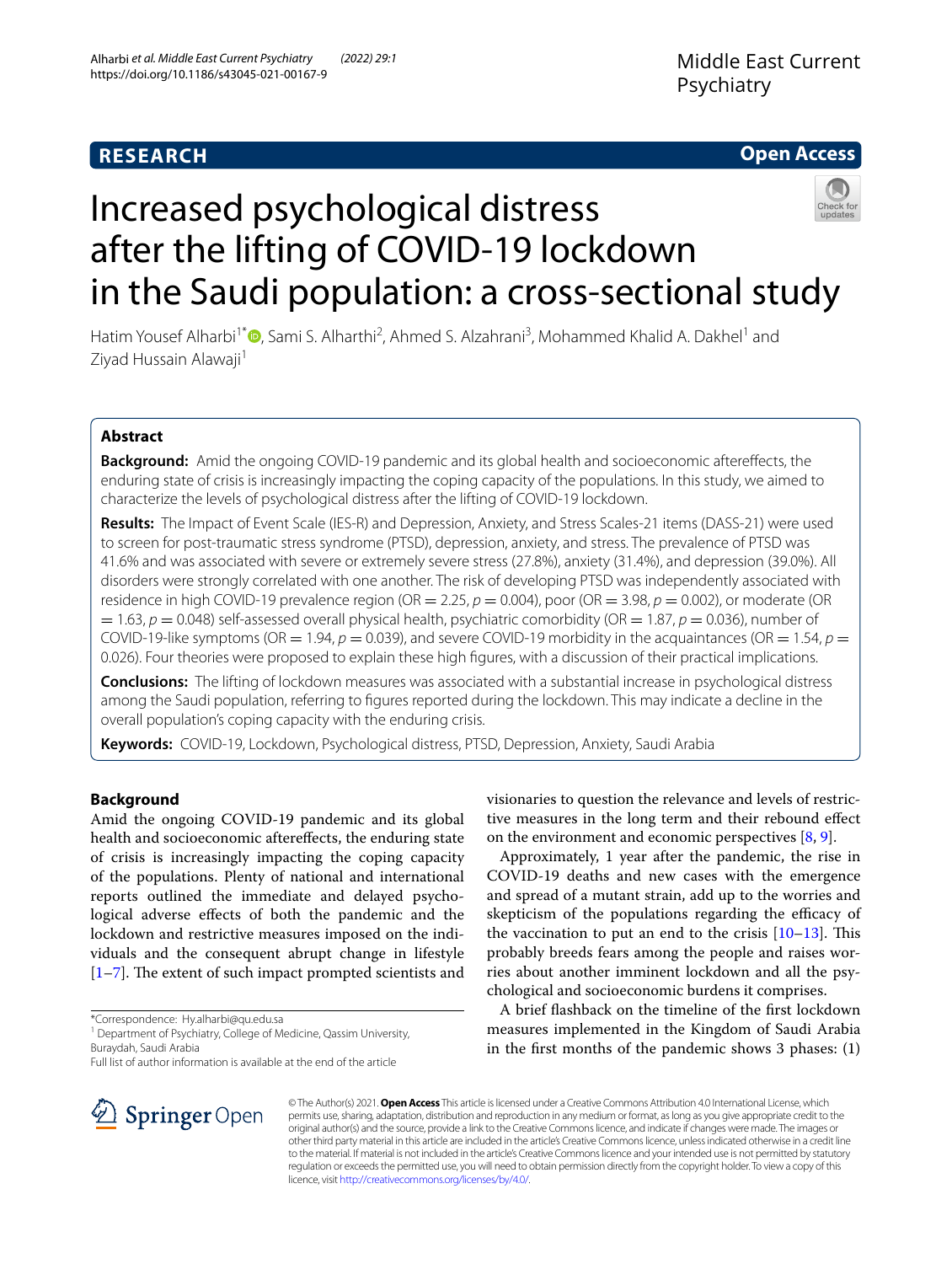# **RESEARCH**

# **Open Access**



# Increased psychological distress after the lifting of COVID-19 lockdown in the Saudi population: a cross-sectional study

Hatim Yousef Alharbi<sup>1[\\*](http://orcid.org/0000-0001-9488-1133)</sup><sup>®</sup>, Sami S. Alharthi<sup>2</sup>, Ahmed S. Alzahrani<sup>3</sup>, Mohammed Khalid A. Dakhel<sup>1</sup> and Ziyad Hussain Alawaji<sup>1</sup>

## **Abstract**

**Background:** Amid the ongoing COVID-19 pandemic and its global health and socioeconomic afterefects, the enduring state of crisis is increasingly impacting the coping capacity of the populations. In this study, we aimed to characterize the levels of psychological distress after the lifting of COVID-19 lockdown.

**Results:** The Impact of Event Scale (IES-R) and Depression, Anxiety, and Stress Scales-21 items (DASS-21) were used to screen for post-traumatic stress syndrome (PTSD), depression, anxiety, and stress. The prevalence of PTSD was 41.6% and was associated with severe or extremely severe stress (27.8%), anxiety (31.4%), and depression (39.0%). All disorders were strongly correlated with one another. The risk of developing PTSD was independently associated with residence in high COVID-19 prevalence region (OR = 2.25, *p* = 0.004), poor (OR = 3.98, *p* = 0.002), or moderate (OR  $= 1.63$ ,  $p = 0.048$ ) self-assessed overall physical health, psychiatric comorbidity (OR  $= 1.87$ ,  $p = 0.036$ ), number of COVID-19-like symptoms (OR  $= 1.94$ ,  $p = 0.039$ ), and severe COVID-19 morbidity in the acquaintances (OR  $= 1.54$ ,  $p =$ 0.026). Four theories were proposed to explain these high fgures, with a discussion of their practical implications.

**Conclusions:** The lifting of lockdown measures was associated with a substantial increase in psychological distress among the Saudi population, referring to fgures reported during the lockdown. This may indicate a decline in the overall population's coping capacity with the enduring crisis.

**Keywords:** COVID-19, Lockdown, Psychological distress, PTSD, Depression, Anxiety, Saudi Arabia

## **Background**

Amid the ongoing COVID-19 pandemic and its global health and socioeconomic afterefects, the enduring state of crisis is increasingly impacting the coping capacity of the populations. Plenty of national and international reports outlined the immediate and delayed psychological adverse efects of both the pandemic and the lockdown and restrictive measures imposed on the individuals and the consequent abrupt change in lifestyle  $[1–7]$  $[1–7]$  $[1–7]$ . The extent of such impact prompted scientists and

\*Correspondence: Hy.alharbi@qu.edu.sa

<sup>1</sup> Department of Psychiatry, College of Medicine, Qassim University, Buraydah, Saudi Arabia

Full list of author information is available at the end of the article

visionaries to question the relevance and levels of restrictive measures in the long term and their rebound efect on the environment and economic perspectives  $[8, 9]$  $[8, 9]$  $[8, 9]$  $[8, 9]$ .

Approximately, 1 year after the pandemic, the rise in COVID-19 deaths and new cases with the emergence and spread of a mutant strain, add up to the worries and skepticism of the populations regarding the efficacy of the vaccination to put an end to the crisis  $[10-13]$  $[10-13]$  $[10-13]$ . This probably breeds fears among the people and raises worries about another imminent lockdown and all the psychological and socioeconomic burdens it comprises.

A brief fashback on the timeline of the frst lockdown measures implemented in the Kingdom of Saudi Arabia in the frst months of the pandemic shows 3 phases: (1)



© The Author(s) 2021. **Open Access** This article is licensed under a Creative Commons Attribution 4.0 International License, which permits use, sharing, adaptation, distribution and reproduction in any medium or format, as long as you give appropriate credit to the original author(s) and the source, provide a link to the Creative Commons licence, and indicate if changes were made. The images or other third party material in this article are included in the article's Creative Commons licence, unless indicated otherwise in a credit line to the material. If material is not included in the article's Creative Commons licence and your intended use is not permitted by statutory regulation or exceeds the permitted use, you will need to obtain permission directly from the copyright holder. To view a copy of this licence, visit [http://creativecommons.org/licenses/by/4.0/.](http://creativecommons.org/licenses/by/4.0/)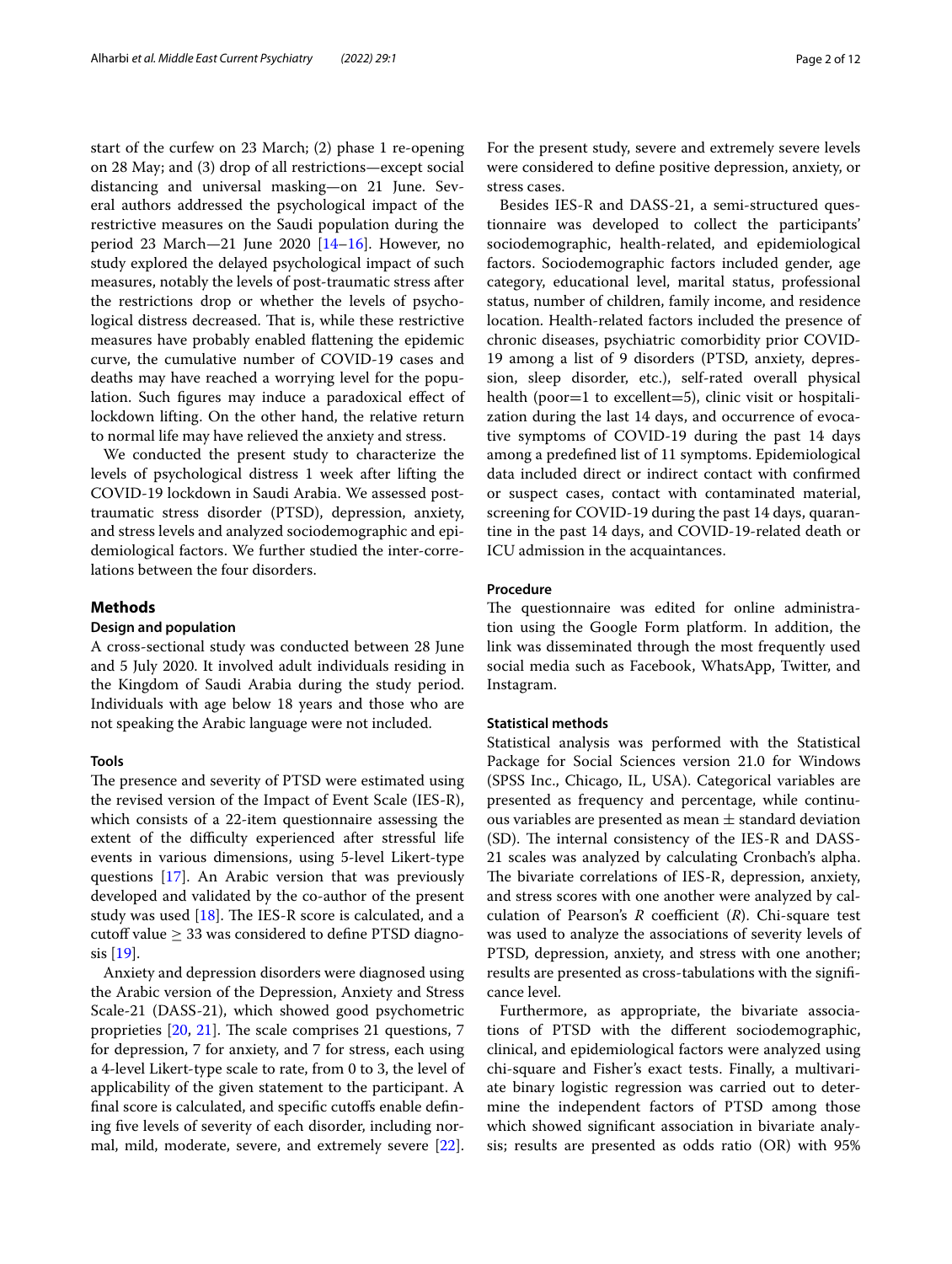start of the curfew on 23 March; (2) phase 1 re-opening on 28 May; and (3) drop of all restrictions—except social distancing and universal masking—on 21 June. Several authors addressed the psychological impact of the restrictive measures on the Saudi population during the period 23 March—21 June 2020 [[14–](#page-11-1)[16](#page-11-2)]. However, no study explored the delayed psychological impact of such measures, notably the levels of post-traumatic stress after the restrictions drop or whether the levels of psychological distress decreased. That is, while these restrictive measures have probably enabled fattening the epidemic curve, the cumulative number of COVID-19 cases and deaths may have reached a worrying level for the population. Such fgures may induce a paradoxical efect of lockdown lifting. On the other hand, the relative return to normal life may have relieved the anxiety and stress.

We conducted the present study to characterize the levels of psychological distress 1 week after lifting the COVID-19 lockdown in Saudi Arabia. We assessed posttraumatic stress disorder (PTSD), depression, anxiety, and stress levels and analyzed sociodemographic and epidemiological factors. We further studied the inter-correlations between the four disorders.

#### **Methods**

## **Design and population**

A cross-sectional study was conducted between 28 June and 5 July 2020. It involved adult individuals residing in the Kingdom of Saudi Arabia during the study period. Individuals with age below 18 years and those who are not speaking the Arabic language were not included.

#### **Tools**

The presence and severity of PTSD were estimated using the revised version of the Impact of Event Scale (IES-R), which consists of a 22-item questionnaire assessing the extent of the difficulty experienced after stressful life events in various dimensions, using 5-level Likert-type questions [[17\]](#page-11-3). An Arabic version that was previously developed and validated by the co-author of the present study was used  $[18]$  $[18]$ . The IES-R score is calculated, and a cutoff value  $\geq$  33 was considered to define PTSD diagnosis [\[19](#page-11-5)].

Anxiety and depression disorders were diagnosed using the Arabic version of the Depression, Anxiety and Stress Scale-21 (DASS-21), which showed good psychometric proprieties  $[20, 21]$  $[20, 21]$  $[20, 21]$  $[20, 21]$ . The scale comprises 21 questions, 7 for depression, 7 for anxiety, and 7 for stress, each using a 4-level Likert-type scale to rate, from 0 to 3, the level of applicability of the given statement to the participant. A final score is calculated, and specific cutoffs enable defining five levels of severity of each disorder, including normal, mild, moderate, severe, and extremely severe [\[22](#page-11-8)]. For the present study, severe and extremely severe levels were considered to defne positive depression, anxiety, or stress cases.

Besides IES-R and DASS-21, a semi-structured questionnaire was developed to collect the participants' sociodemographic, health-related, and epidemiological factors. Sociodemographic factors included gender, age category, educational level, marital status, professional status, number of children, family income, and residence location. Health-related factors included the presence of chronic diseases, psychiatric comorbidity prior COVID-19 among a list of 9 disorders (PTSD, anxiety, depression, sleep disorder, etc.), self-rated overall physical health (poor=1 to excellent=5), clinic visit or hospitalization during the last 14 days, and occurrence of evocative symptoms of COVID-19 during the past 14 days among a predefned list of 11 symptoms. Epidemiological data included direct or indirect contact with confrmed or suspect cases, contact with contaminated material, screening for COVID-19 during the past 14 days, quarantine in the past 14 days, and COVID-19-related death or ICU admission in the acquaintances.

#### **Procedure**

The questionnaire was edited for online administration using the Google Form platform. In addition, the link was disseminated through the most frequently used social media such as Facebook, WhatsApp, Twitter, and Instagram.

#### **Statistical methods**

Statistical analysis was performed with the Statistical Package for Social Sciences version 21.0 for Windows (SPSS Inc., Chicago, IL, USA). Categorical variables are presented as frequency and percentage, while continuous variables are presented as mean  $\pm$  standard deviation (SD). The internal consistency of the IES-R and DASS-21 scales was analyzed by calculating Cronbach's alpha. The bivariate correlations of IES-R, depression, anxiety, and stress scores with one another were analyzed by calculation of Pearson's *R* coefficient (*R*). Chi-square test was used to analyze the associations of severity levels of PTSD, depression, anxiety, and stress with one another; results are presented as cross-tabulations with the signifcance level.

Furthermore, as appropriate, the bivariate associations of PTSD with the diferent sociodemographic, clinical, and epidemiological factors were analyzed using chi-square and Fisher's exact tests. Finally, a multivariate binary logistic regression was carried out to determine the independent factors of PTSD among those which showed signifcant association in bivariate analysis; results are presented as odds ratio (OR) with 95%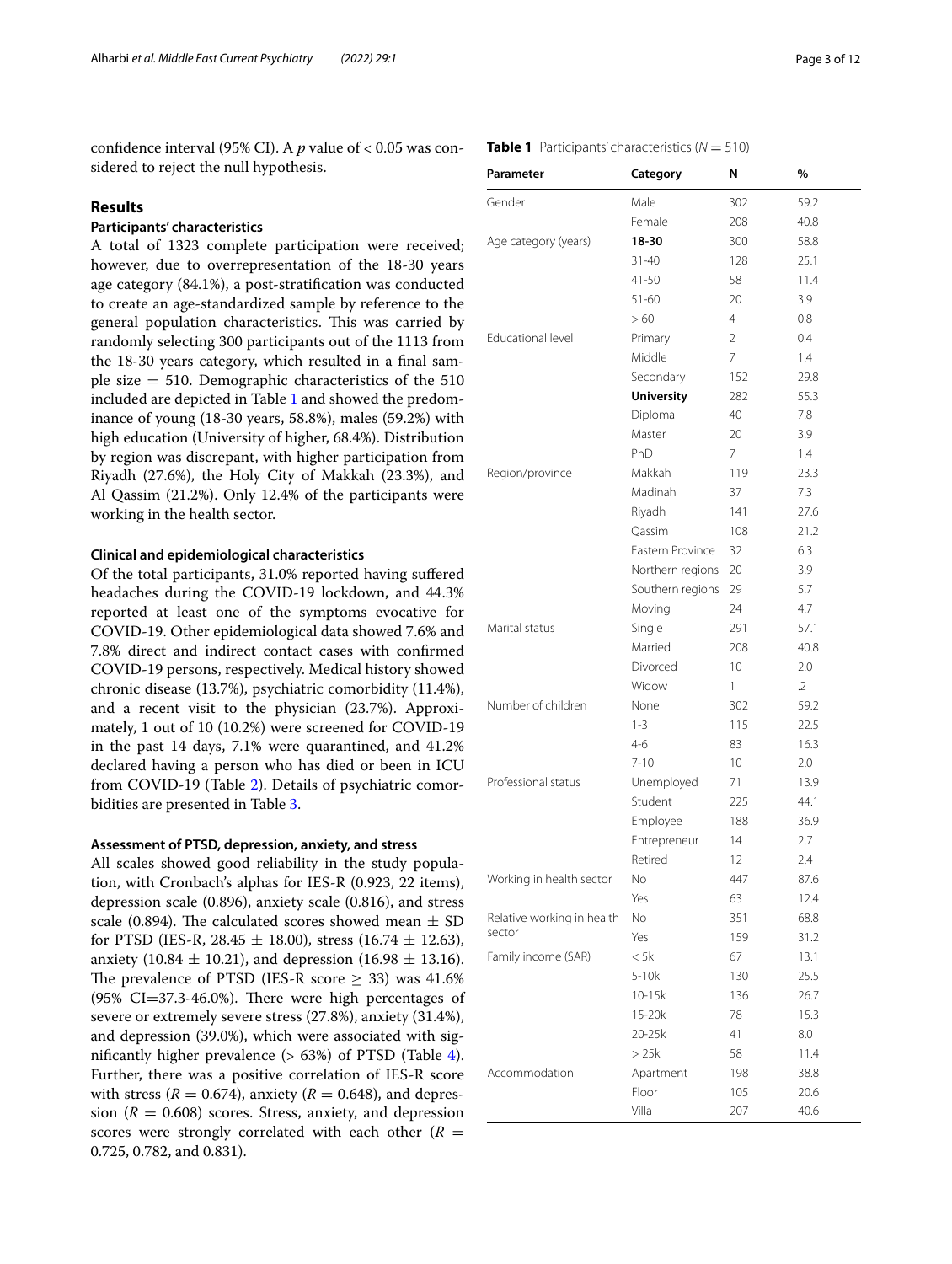confdence interval (95% CI). A *p* value of < 0.05 was considered to reject the null hypothesis.

## **Results**

## **Participants' characteristics**

A total of 1323 complete participation were received; however, due to overrepresentation of the 18-30 years age category (84.1%), a post-stratifcation was conducted to create an age-standardized sample by reference to the general population characteristics. This was carried by randomly selecting 300 participants out of the 1113 from the 18-30 years category, which resulted in a fnal sample size = 510. Demographic characteristics of the 510 included are depicted in Table [1](#page-2-0) and showed the predominance of young (18-30 years, 58.8%), males (59.2%) with high education (University of higher, 68.4%). Distribution by region was discrepant, with higher participation from Riyadh (27.6%), the Holy City of Makkah (23.3%), and Al Qassim (21.2%). Only 12.4% of the participants were working in the health sector.

## **Clinical and epidemiological characteristics**

Of the total participants, 31.0% reported having sufered headaches during the COVID-19 lockdown, and 44.3% reported at least one of the symptoms evocative for COVID-19. Other epidemiological data showed 7.6% and 7.8% direct and indirect contact cases with confrmed COVID-19 persons, respectively. Medical history showed chronic disease (13.7%), psychiatric comorbidity (11.4%), and a recent visit to the physician (23.7%). Approximately, 1 out of 10 (10.2%) were screened for COVID-19 in the past 14 days, 7.1% were quarantined, and 41.2% declared having a person who has died or been in ICU from COVID-19 (Table [2\)](#page-3-0). Details of psychiatric comorbidities are presented in Table [3](#page-3-1).

## **Assessment of PTSD, depression, anxiety, and stress**

All scales showed good reliability in the study population, with Cronbach's alphas for IES-R (0.923, 22 items), depression scale (0.896), anxiety scale (0.816), and stress scale (0.894). The calculated scores showed mean  $\pm$  SD for PTSD (IES-R, 28.45  $\pm$  18.00), stress (16.74  $\pm$  12.63), anxiety (10.84  $\pm$  10.21), and depression (16.98  $\pm$  13.16). The prevalence of PTSD (IES-R score  $\geq$  33) was 41.6%  $(95\% \text{ CI} = 37.3 - 46.0\%).$  There were high percentages of severe or extremely severe stress (27.8%), anxiety (31.4%), and depression (39.0%), which were associated with significantly higher prevalence  $(> 63%)$  of PTSD (Table [4](#page-4-0)). Further, there was a positive correlation of IES-R score with stress  $(R = 0.674)$ , anxiety  $(R = 0.648)$ , and depression ( $R = 0.608$ ) scores. Stress, anxiety, and depression scores were strongly correlated with each other  $(R =$ 0.725, 0.782, and 0.831).

### <span id="page-2-0"></span>**Table 1** Participants' characteristics  $(N = 510)$

| Parameter                  | Category          | N              | %          |
|----------------------------|-------------------|----------------|------------|
| Gender                     | Male              | 302            | 59.2       |
|                            | Female            | 208            | 40.8       |
| Age category (years)       | 18-30             | 300            | 58.8       |
|                            | $31 - 40$         | 128            | 25.1       |
|                            | $41 - 50$         | 58             | 11.4       |
|                            | $51 - 60$         | 20             | 3.9        |
|                            | >60               | $\overline{4}$ | 0.8        |
| Educational level          | Primary           | $\overline{2}$ | 0.4        |
|                            | Middle            | 7              | 1.4        |
|                            | Secondary         | 152            | 29.8       |
|                            | <b>University</b> | 282            | 55.3       |
|                            | Diploma           | 40             | 7.8        |
|                            | Master            | 20             | 3.9        |
|                            | PhD               | 7              | 1.4        |
| Region/province            | Makkah            | 119            | 23.3       |
|                            | Madinah           | 37             | 7.3        |
|                            | Riyadh            | 141            | 27.6       |
|                            | Qassim            | 108            | 21.2       |
|                            | Eastern Province  | 32             | 6.3        |
|                            | Northern regions  | 20             | 3.9        |
|                            | Southern regions  | 29             | 5.7        |
|                            | Moving            | 24             | 4.7        |
| Marital status             | Single            | 291            | 57.1       |
|                            | Married           | 208            | 40.8       |
|                            | Divorced          | 10             | 2.0        |
|                            | Widow             | 1              | $\cdot$ .2 |
| Number of children         | None              | 302            | 59.2       |
|                            | $1 - 3$           | 115            | 22.5       |
|                            | $4 - 6$           | 83             | 16.3       |
|                            | $7 - 10$          | 10             | 2.0        |
| Professional status        | Unemployed        | 71             | 13.9       |
|                            | Student           | 225            | 44.1       |
|                            | Employee          | 188            | 36.9       |
|                            | Entrepreneur      | 14             | 2.7        |
|                            | Retired           | 12             | 2.4        |
| Working in health sector   | No                | 447            | 87.6       |
|                            | Yes               | 63             | 12.4       |
| Relative working in health | No                | 351            | 68.8       |
| sector                     | Yes               | 159            | 31.2       |
| Family income (SAR)        | < 5k              | 67             | 13.1       |
|                            | $5-10k$           | 130            | 25.5       |
|                            | 10-15k            | 136            | 26.7       |
|                            | 15-20k            | 78             | 15.3       |
|                            | 20-25k            | 41             | 8.0        |
|                            | > 25k             | 58             | 11.4       |
| Accommodation              | Apartment         | 198            | 38.8       |
|                            | Floor             | 105            | 20.6       |
|                            | Villa             | 207            | 40.6       |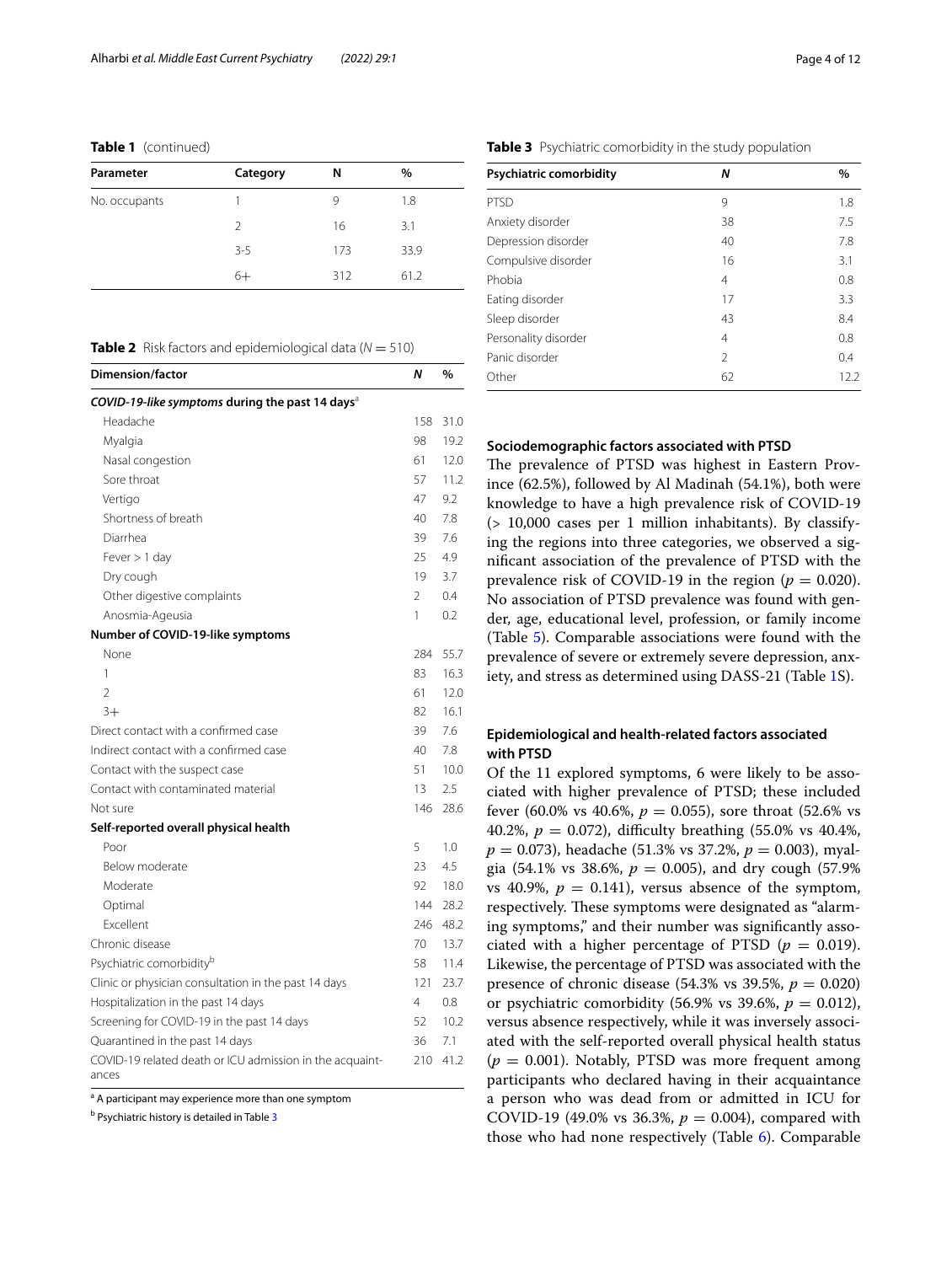**Table 1** (continued)

| Parameter     | Category      | N   | $\%$ |
|---------------|---------------|-----|------|
| No. occupants |               | 9   | 1.8  |
|               | $\mathcal{L}$ | 16  | 3.1  |
|               | $3 - 5$       | 173 | 33.9 |
|               | $6+$          | 312 | 61.2 |

<span id="page-3-0"></span>

| <b>Table 2</b> Risk factors and epidemiological data ( $N = 510$ ) |  |
|--------------------------------------------------------------------|--|
|--------------------------------------------------------------------|--|

| <b>Dimension/factor</b>                                           | Ν              | %    |
|-------------------------------------------------------------------|----------------|------|
| COVID-19-like symptoms during the past 14 days <sup>a</sup>       |                |      |
| Headache                                                          | 158            | 31.0 |
| Myalgia                                                           | 98             | 19.2 |
| Nasal congestion                                                  | 61             | 12.0 |
| Sore throat                                                       | 57             | 11.2 |
| Vertigo                                                           | 47             | 9.2  |
| Shortness of breath                                               | 40             | 7.8  |
| Diarrhea                                                          | 39             | 7.6  |
| Fever $> 1$ day                                                   | 25             | 4.9  |
| Dry cough                                                         | 19             | 3.7  |
| Other digestive complaints                                        | $\overline{2}$ | 0.4  |
| Anosmia-Ageusia                                                   | 1              | 0.2  |
| Number of COVID-19-like symptoms                                  |                |      |
| None                                                              | 284            | 55.7 |
| 1                                                                 | 83             | 16.3 |
| $\overline{\phantom{a}}$                                          | 61             | 12.0 |
| $3+$                                                              | 82             | 16.1 |
| Direct contact with a confirmed case                              | 39             | 7.6  |
| Indirect contact with a confirmed case                            | 40             | 7.8  |
| Contact with the suspect case                                     | 51             | 10.0 |
| Contact with contaminated material                                | 13             | 2.5  |
| Not sure                                                          | 146            | 28.6 |
| Self-reported overall physical health                             |                |      |
| Poor                                                              | 5              | 1.0  |
| Below moderate                                                    | 23             | 4.5  |
| Moderate                                                          | 92             | 18.0 |
| Optimal                                                           | 144            | 28.2 |
| <b>Fxcellent</b>                                                  | 246            | 48.2 |
| Chronic disease                                                   | 70             | 13.7 |
| Psychiatric comorbidity <sup>b</sup>                              | 58             | 11.4 |
| Clinic or physician consultation in the past 14 days              | 121            | 23.7 |
| Hospitalization in the past 14 days                               | 4              | 0.8  |
| Screening for COVID-19 in the past 14 days                        | 52             | 10.2 |
| Quarantined in the past 14 days                                   | 36             | 7.1  |
| COVID-19 related death or ICU admission in the acquaint-<br>ances | 210            | 41.2 |

<sup>a</sup> A participant may experience more than one symptom

<sup>b</sup> Psychiatric history is detailed in Table [3](#page-3-1)

| N              | $\%$ |
|----------------|------|
| 9              | 1.8  |
| 38             | 7.5  |
| 40             | 7.8  |
| 16             | 3.1  |
| 4              | 0.8  |
| 17             | 3.3  |
| 43             | 8.4  |
| 4              | 0.8  |
| $\mathfrak{D}$ | 0.4  |
| 62             | 12.2 |
|                |      |

#### <span id="page-3-1"></span>**Table 3** Psychiatric comorbidity in the study population

#### **Sociodemographic factors associated with PTSD**

The prevalence of PTSD was highest in Eastern Province (62.5%), followed by Al Madinah (54.1%), both were knowledge to have a high prevalence risk of COVID-19 (> 10,000 cases per 1 million inhabitants). By classifying the regions into three categories, we observed a signifcant association of the prevalence of PTSD with the prevalence risk of COVID-19 in the region ( $p = 0.020$ ). No association of PTSD prevalence was found with gender, age, educational level, profession, or family income (Table [5\)](#page-5-0). Comparable associations were found with the prevalence of severe or extremely severe depression, anxiety, and stress as determined using DASS-21 (Table [1](#page-10-5)S).

## **Epidemiological and health-related factors associated with PTSD**

Of the 11 explored symptoms, 6 were likely to be associated with higher prevalence of PTSD; these included fever (60.0% vs 40.6%,  $p = 0.055$ ), sore throat (52.6% vs 40.2%,  $p = 0.072$ ), difficulty breathing (55.0% vs 40.4%, *p* = 0.073), headache (51.3% vs 37.2%, *p* = 0.003), myalgia (54.1% vs 38.6%,  $p = 0.005$ ), and dry cough (57.9%) vs 40.9%,  $p = 0.141$ , versus absence of the symptom, respectively. These symptoms were designated as "alarming symptoms," and their number was signifcantly associated with a higher percentage of PTSD  $(p = 0.019)$ . Likewise, the percentage of PTSD was associated with the presence of chronic disease (54.3% vs 39.5%,  $p = 0.020$ ) or psychiatric comorbidity (56.9% vs 39.6%,  $p = 0.012$ ), versus absence respectively, while it was inversely associated with the self-reported overall physical health status  $(p = 0.001)$ . Notably, PTSD was more frequent among participants who declared having in their acquaintance a person who was dead from or admitted in ICU for COVID-19 (49.0% vs 36.3%,  $p = 0.004$ ), compared with those who had none respectively (Table [6\)](#page-6-0). Comparable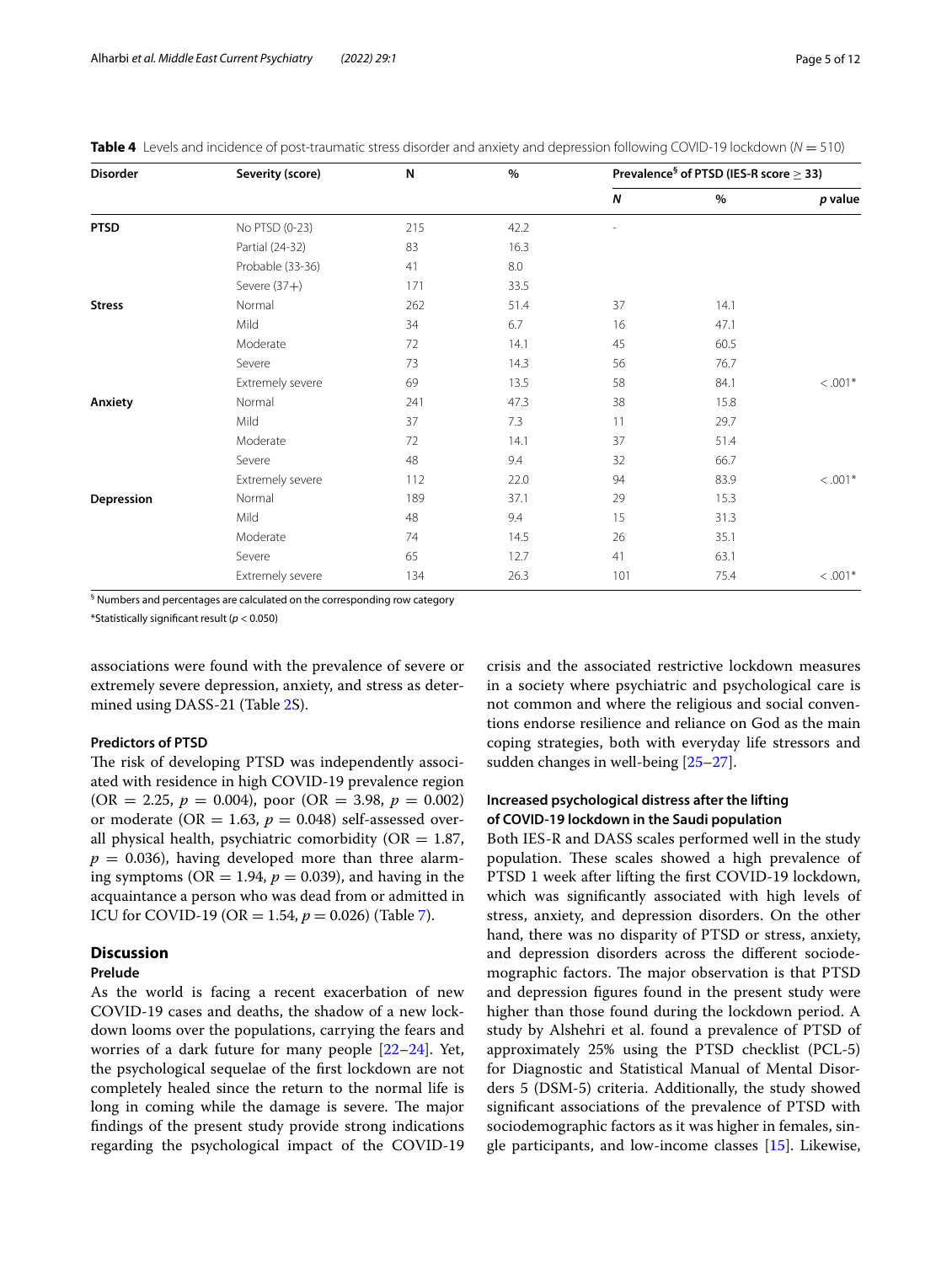| <b>Disorder</b> | Severity (score) | N   | $\%$ | Prevalence <sup>§</sup> of PTSD (IES-R score $\geq$ 33) |      |           |
|-----------------|------------------|-----|------|---------------------------------------------------------|------|-----------|
|                 |                  |     |      | Ν                                                       | $\%$ | p value   |
| <b>PTSD</b>     | No PTSD (0-23)   | 215 | 42.2 |                                                         |      |           |
|                 | Partial (24-32)  | 83  | 16.3 |                                                         |      |           |
|                 | Probable (33-36) | 41  | 8.0  |                                                         |      |           |
|                 | Severe $(37+)$   | 171 | 33.5 |                                                         |      |           |
| <b>Stress</b>   | Normal           | 262 | 51.4 | 37                                                      | 14.1 |           |
|                 | Mild             | 34  | 6.7  | 16                                                      | 47.1 |           |
|                 | Moderate         | 72  | 14.1 | 45                                                      | 60.5 |           |
|                 | Severe           | 73  | 14.3 | 56                                                      | 76.7 |           |
|                 | Extremely severe | 69  | 13.5 | 58                                                      | 84.1 | $< .001*$ |
| Anxiety         | Normal           | 241 | 47.3 | 38                                                      | 15.8 |           |
|                 | Mild             | 37  | 7.3  | 11                                                      | 29.7 |           |
|                 | Moderate         | 72  | 14.1 | 37                                                      | 51.4 |           |
|                 | Severe           | 48  | 9.4  | 32                                                      | 66.7 |           |
|                 | Extremely severe | 112 | 22.0 | 94                                                      | 83.9 | $< .001*$ |
| Depression      | Normal           | 189 | 37.1 | 29                                                      | 15.3 |           |
|                 | Mild             | 48  | 9.4  | 15                                                      | 31.3 |           |
|                 | Moderate         | 74  | 14.5 | 26                                                      | 35.1 |           |
|                 | Severe           | 65  | 12.7 | 41                                                      | 63.1 |           |
|                 | Extremely severe | 134 | 26.3 | 101                                                     | 75.4 | $< .001*$ |

<span id="page-4-0"></span>**Table 4** Levels and incidence of post-traumatic stress disorder and anxiety and depression following COVID-19 lockdown (*N* = 510)

§ Numbers and percentages are calculated on the corresponding row category

\*Statistically signifcant result (*p* < 0.050)

associations were found with the prevalence of severe or extremely severe depression, anxiety, and stress as determined using DASS-21 (Table [2S](#page-10-6)).

#### **Predictors of PTSD**

The risk of developing PTSD was independently associated with residence in high COVID-19 prevalence region  $(OR = 2.25, p = 0.004)$ , poor  $(OR = 3.98, p = 0.002)$ or moderate (OR = 1.63,  $p = 0.048$ ) self-assessed overall physical health, psychiatric comorbidity ( $OR = 1.87$ ,  $p = 0.036$ , having developed more than three alarming symptoms ( $OR = 1.94$ ,  $p = 0.039$ ), and having in the acquaintance a person who was dead from or admitted in ICU for COVID-19 (OR = 1.54,  $p = 0.026$ ) (Table [7\)](#page-7-0).

## **Discussion**

#### **Prelude**

As the world is facing a recent exacerbation of new COVID-19 cases and deaths, the shadow of a new lockdown looms over the populations, carrying the fears and worries of a dark future for many people [\[22–](#page-11-8)[24\]](#page-11-9). Yet, the psychological sequelae of the frst lockdown are not completely healed since the return to the normal life is long in coming while the damage is severe. The major fndings of the present study provide strong indications regarding the psychological impact of the COVID-19 crisis and the associated restrictive lockdown measures in a society where psychiatric and psychological care is not common and where the religious and social conventions endorse resilience and reliance on God as the main coping strategies, both with everyday life stressors and sudden changes in well-being [\[25–](#page-11-10)[27\]](#page-11-11).

## **Increased psychological distress after the lifting of COVID-19 lockdown in the Saudi population**

Both IES-R and DASS scales performed well in the study population. These scales showed a high prevalence of PTSD 1 week after lifting the frst COVID-19 lockdown, which was signifcantly associated with high levels of stress, anxiety, and depression disorders. On the other hand, there was no disparity of PTSD or stress, anxiety, and depression disorders across the diferent sociodemographic factors. The major observation is that PTSD and depression fgures found in the present study were higher than those found during the lockdown period. A study by Alshehri et al. found a prevalence of PTSD of approximately 25% using the PTSD checklist (PCL-5) for Diagnostic and Statistical Manual of Mental Disorders 5 (DSM-5) criteria. Additionally, the study showed signifcant associations of the prevalence of PTSD with sociodemographic factors as it was higher in females, single participants, and low-income classes [[15](#page-11-12)]. Likewise,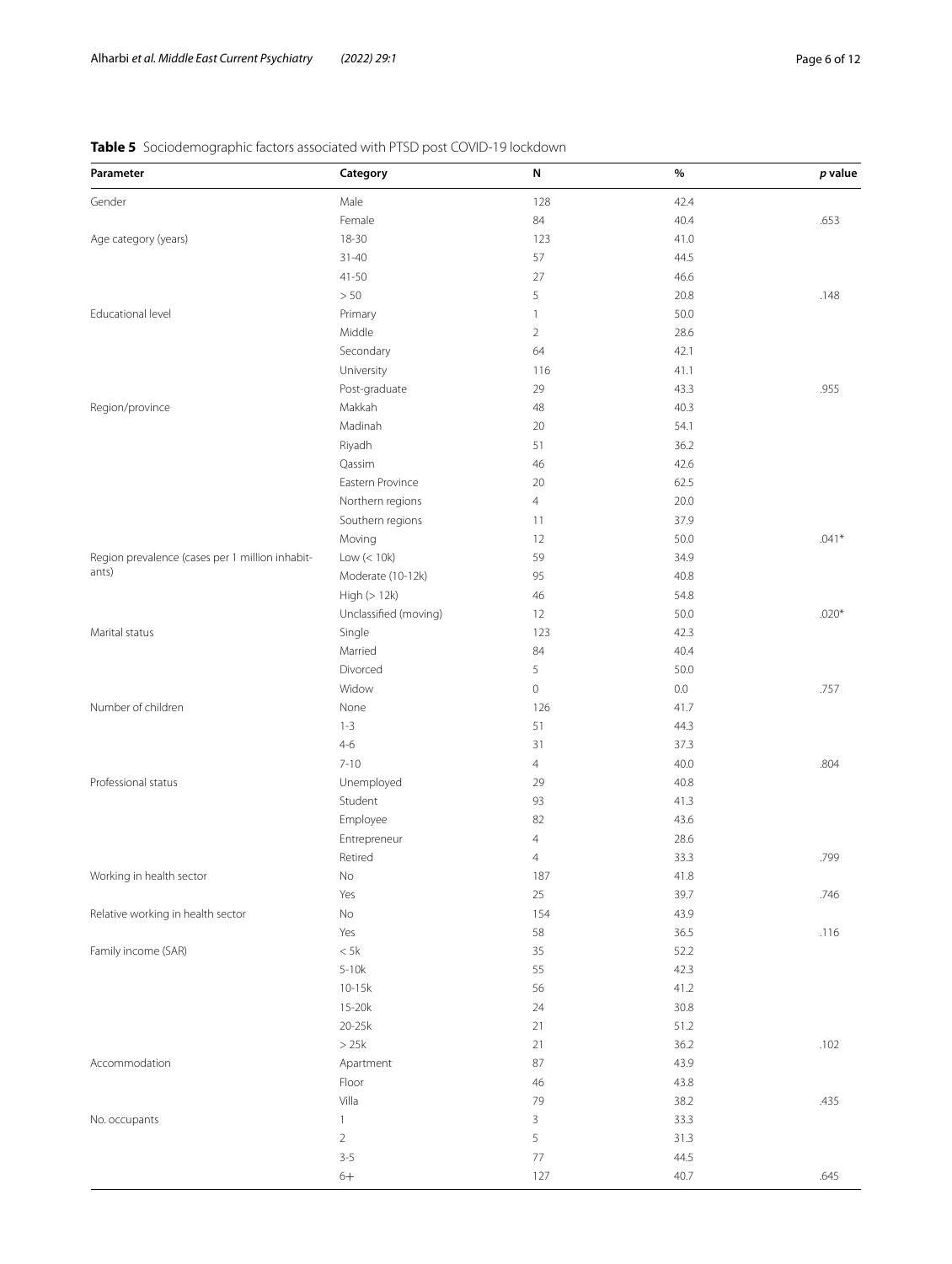# <span id="page-5-0"></span>**Table 5** Sociodemographic factors associated with PTSD post COVID-19 lockdown

| Parameter                                       | Category              | N              | $\%$ | p value |
|-------------------------------------------------|-----------------------|----------------|------|---------|
| Gender                                          | Male                  | 128            | 42.4 |         |
|                                                 | Female                | 84             | 40.4 | .653    |
| Age category (years)                            | $18 - 30$             | 123            | 41.0 |         |
|                                                 | $31 - 40$             | 57             | 44.5 |         |
|                                                 | $41 - 50$             | 27             | 46.6 |         |
|                                                 | > 50                  | 5              | 20.8 | .148    |
| Educational level                               | Primary               | $\mathbf{1}$   | 50.0 |         |
|                                                 | Middle                | $\overline{2}$ | 28.6 |         |
|                                                 | Secondary             | 64             | 42.1 |         |
|                                                 | University            | 116            | 41.1 |         |
|                                                 | Post-graduate         | 29             | 43.3 | .955    |
| Region/province                                 | Makkah                | 48             | 40.3 |         |
|                                                 | Madinah               | 20             | 54.1 |         |
|                                                 | Riyadh                | 51             | 36.2 |         |
|                                                 | Qassim                | 46             | 42.6 |         |
|                                                 | Eastern Province      | 20             | 62.5 |         |
|                                                 | Northern regions      | $\overline{4}$ | 20.0 |         |
|                                                 | Southern regions      | 11             | 37.9 |         |
|                                                 | Moving                | 12             | 50.0 | $.041*$ |
| Region prevalence (cases per 1 million inhabit- | Low $(< 10k)$         | 59             | 34.9 |         |
| ants)                                           | Moderate (10-12k)     | 95             | 40.8 |         |
|                                                 | High(>12k)            | 46             | 54.8 |         |
|                                                 | Unclassified (moving) | 12             | 50.0 | $.020*$ |
| Marital status                                  | Single                | 123            | 42.3 |         |
|                                                 | Married               | 84             | 40.4 |         |
|                                                 | Divorced              | 5              | 50.0 |         |
|                                                 | Widow                 | $\mathbb O$    | 0.0  | .757    |
| Number of children                              | None                  | 126            | 41.7 |         |
|                                                 | $1 - 3$               | 51             | 44.3 |         |
|                                                 | $4 - 6$               | 31             | 37.3 |         |
|                                                 | $7 - 10$              | $\overline{4}$ | 40.0 | .804    |
| Professional status                             | Unemployed            | 29             | 40.8 |         |
|                                                 | Student               | 93             | 41.3 |         |
|                                                 | Employee              | 82             | 43.6 |         |
|                                                 | Entrepreneur          | 4              | 28.6 |         |
|                                                 | Retired               | 4              | 33.3 | .799    |
| Working in health sector                        | No                    | 187            | 41.8 |         |
|                                                 | Yes                   | 25             | 39.7 | .746    |
| Relative working in health sector               | $\rm No$              | 154            | 43.9 |         |
|                                                 | Yes                   | 58             | 36.5 | .116    |
| Family income (SAR)                             | $< 5 \mathrm{k}$      | 35             | 52.2 |         |
|                                                 | $5-10k$               | 55             | 42.3 |         |
|                                                 | $10 - 15k$            | 56             | 41.2 |         |
|                                                 | $15-20k$              | 24             | 30.8 |         |
|                                                 | $20-25k$              | 21             | 51.2 |         |
|                                                 | >25k                  | 21             | 36.2 | .102    |
| Accommodation                                   | Apartment             | $87\,$         | 43.9 |         |
|                                                 | Floor                 | $46\,$         | 43.8 |         |
|                                                 | Villa                 | 79             | 38.2 | .435    |
| No. occupants                                   | $\mathbf{1}$          | 3              | 33.3 |         |
|                                                 | $\overline{2}$        | 5              | 31.3 |         |
|                                                 | $3 - 5$               | $77\,$         | 44.5 |         |
|                                                 | $6+$                  | 127            | 40.7 | .645    |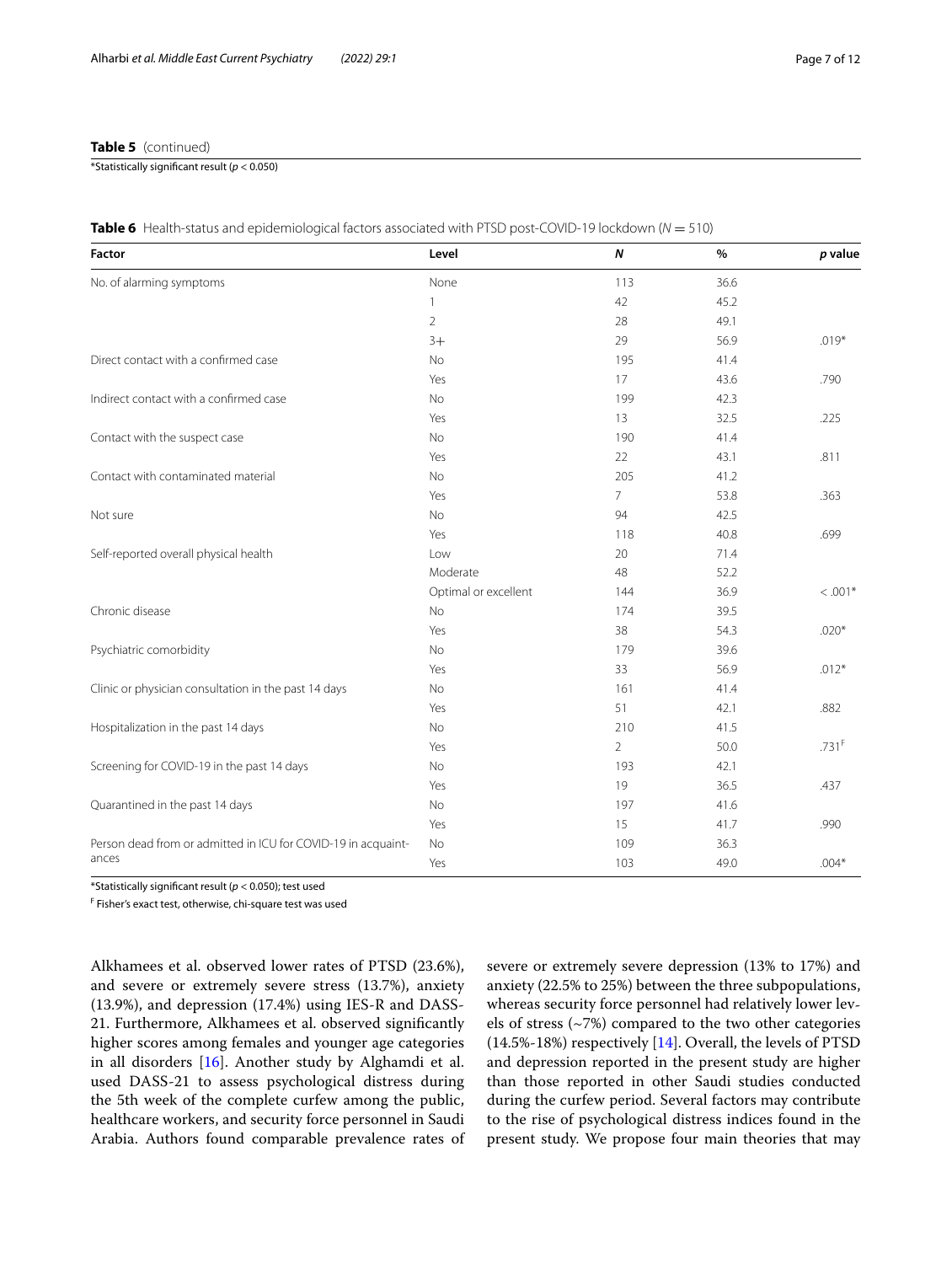## **Table 5** (continued)

\*Statistically signifcant result (*p* < 0.050)

| Factor                                                        | Level                | $\boldsymbol{N}$ | %    | p value             |
|---------------------------------------------------------------|----------------------|------------------|------|---------------------|
| No. of alarming symptoms                                      | None                 | 113              | 36.6 |                     |
|                                                               | 1                    | 42               | 45.2 |                     |
|                                                               | $\overline{2}$       | 28               | 49.1 |                     |
|                                                               | $3+$                 | 29               | 56.9 | $.019*$             |
| Direct contact with a confirmed case                          | No                   | 195              | 41.4 |                     |
|                                                               | Yes                  | 17               | 43.6 | .790                |
| Indirect contact with a confirmed case                        | <b>No</b>            | 199              | 42.3 |                     |
|                                                               | Yes                  | 13               | 32.5 | .225                |
| Contact with the suspect case                                 | No                   | 190              | 41.4 |                     |
|                                                               | Yes                  | 22               | 43.1 | .811                |
| Contact with contaminated material                            | No                   | 205              | 41.2 |                     |
|                                                               | Yes                  | $\overline{7}$   | 53.8 | .363                |
| Not sure                                                      | No                   | 94               | 42.5 |                     |
|                                                               | Yes                  | 118              | 40.8 | .699                |
| Self-reported overall physical health                         | Low                  | 20               | 71.4 |                     |
|                                                               | Moderate             | 48               | 52.2 |                     |
|                                                               | Optimal or excellent | 144              | 36.9 | $< .001*$           |
| Chronic disease                                               | No                   | 174              | 39.5 |                     |
|                                                               | Yes                  | 38               | 54.3 | $.020*$             |
| Psychiatric comorbidity                                       | No                   | 179              | 39.6 |                     |
|                                                               | Yes                  | 33               | 56.9 | $.012*$             |
| Clinic or physician consultation in the past 14 days          | No                   | 161              | 41.4 |                     |
|                                                               | Yes                  | 51               | 42.1 | .882                |
| Hospitalization in the past 14 days                           | No                   | 210              | 41.5 |                     |
|                                                               | Yes                  | $\overline{2}$   | 50.0 | $.731$ <sup>F</sup> |
| Screening for COVID-19 in the past 14 days                    | No                   | 193              | 42.1 |                     |
|                                                               | Yes                  | 19               | 36.5 | .437                |
| Quarantined in the past 14 days                               | No                   | 197              | 41.6 |                     |
|                                                               | Yes                  | 15               | 41.7 | .990                |
| Person dead from or admitted in ICU for COVID-19 in acquaint- | No                   | 109              | 36.3 |                     |
| ances                                                         | Yes                  | 103              | 49.0 | $.004*$             |

<span id="page-6-0"></span>

|  | Table 6 Health-status and epidemiological factors associated with PTSD post-COVID-19 lockdown (N = 510) |  |  |  |  |  |  |  |
|--|---------------------------------------------------------------------------------------------------------|--|--|--|--|--|--|--|
|--|---------------------------------------------------------------------------------------------------------|--|--|--|--|--|--|--|

\*Statistically signifcant result (*p* < 0.050); test used

F Fisher's exact test, otherwise, chi-square test was used

Alkhamees et al. observed lower rates of PTSD (23.6%), and severe or extremely severe stress (13.7%), anxiety (13.9%), and depression (17.4%) using IES-R and DASS-21. Furthermore, Alkhamees et al. observed signifcantly higher scores among females and younger age categories in all disorders [[16](#page-11-2)]. Another study by Alghamdi et al. used DASS-21 to assess psychological distress during the 5th week of the complete curfew among the public, healthcare workers, and security force personnel in Saudi Arabia. Authors found comparable prevalence rates of severe or extremely severe depression (13% to 17%) and anxiety (22.5% to 25%) between the three subpopulations, whereas security force personnel had relatively lower levels of stress (~7%) compared to the two other categories (14.5%-18%) respectively [\[14](#page-11-1)]. Overall, the levels of PTSD and depression reported in the present study are higher than those reported in other Saudi studies conducted during the curfew period. Several factors may contribute to the rise of psychological distress indices found in the present study. We propose four main theories that may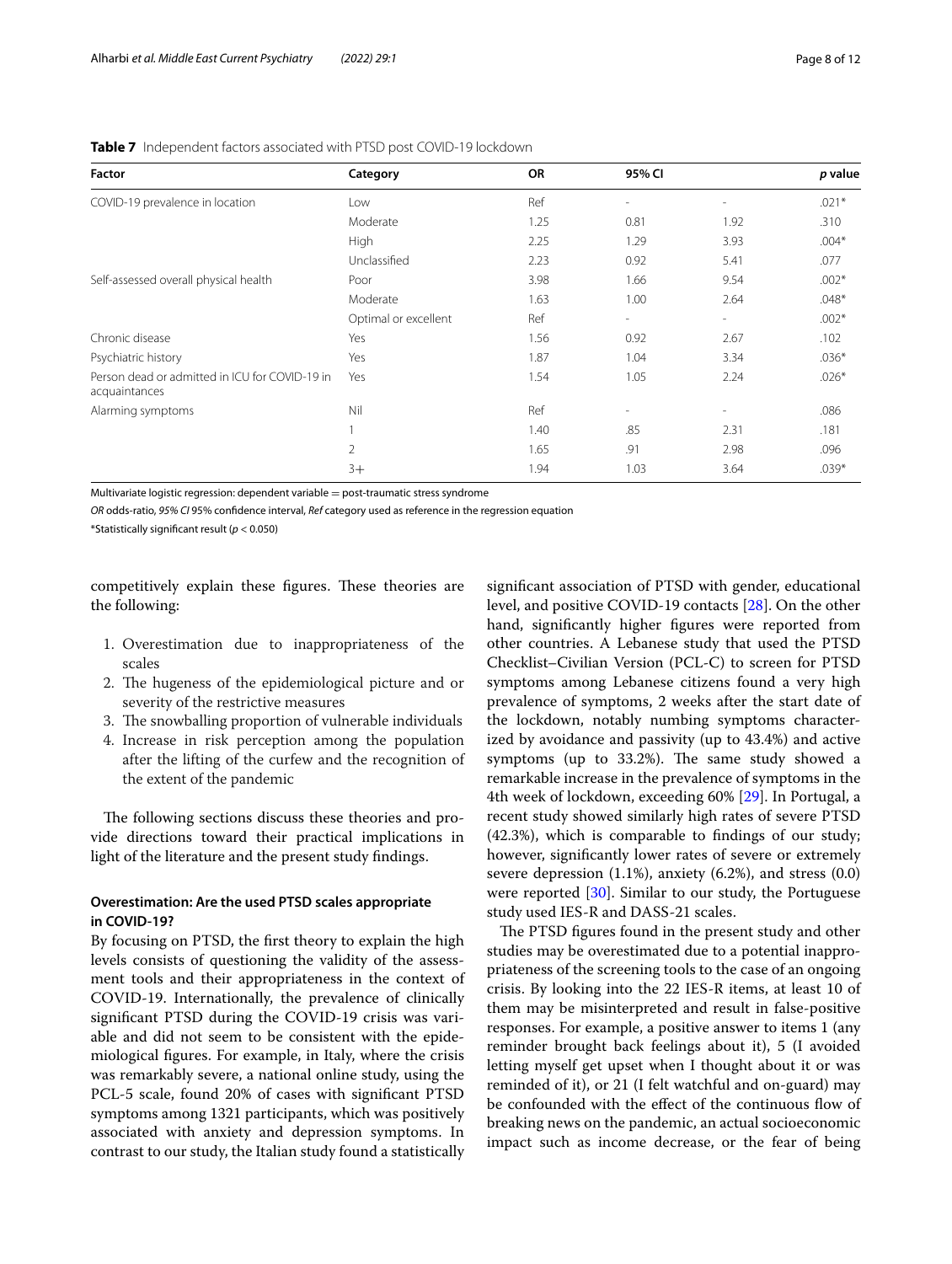| Factor                                                          | Category             | <b>OR</b> | 95% CI                   |                          | p value |
|-----------------------------------------------------------------|----------------------|-----------|--------------------------|--------------------------|---------|
| COVID-19 prevalence in location                                 | Low                  | Ref       | $\overline{\phantom{a}}$ | ۰                        | $.021*$ |
|                                                                 | Moderate             | 1.25      | 0.81                     | 1.92                     | .310    |
|                                                                 | High                 | 2.25      | 1.29                     | 3.93                     | $.004*$ |
|                                                                 | Unclassified         | 2.23      | 0.92                     | 5.41                     | .077    |
| Self-assessed overall physical health                           | Poor                 | 3.98      | 1.66                     | 9.54                     | $.002*$ |
|                                                                 | Moderate             | 1.63      | 1.00                     | 2.64                     | $.048*$ |
|                                                                 | Optimal or excellent | Ref       | $\overline{\phantom{a}}$ | $\overline{\phantom{0}}$ | $.002*$ |
| Chronic disease                                                 | Yes                  | 1.56      | 0.92                     | 2.67                     | .102    |
| Psychiatric history                                             | Yes                  | 1.87      | 1.04                     | 3.34                     | $.036*$ |
| Person dead or admitted in ICU for COVID-19 in<br>acquaintances | Yes                  | 1.54      | 1.05                     | 2.24                     | $.026*$ |
| Alarming symptoms                                               | Nil                  | Ref       | $\overline{\phantom{a}}$ | $\overline{\phantom{0}}$ | .086    |
|                                                                 |                      | 1.40      | .85                      | 2.31                     | .181    |
|                                                                 | $\overline{2}$       | 1.65      | .91                      | 2.98                     | .096    |
|                                                                 | $3+$                 | 1.94      | 1.03                     | 3.64                     | $.039*$ |

## <span id="page-7-0"></span>**Table 7** Independent factors associated with PTSD post COVID-19 lockdown

Multivariate logistic regression: dependent variable  $=$  post-traumatic stress syndrome

*OR* odds-ratio, *95% CI* 95% confdence interval, *Ref* category used as reference in the regression equation

\*Statistically signifcant result (*p* < 0.050)

competitively explain these figures. These theories are the following:

- 1. Overestimation due to inappropriateness of the scales
- 2. The hugeness of the epidemiological picture and or severity of the restrictive measures
- 3. The snowballing proportion of vulnerable individuals
- 4. Increase in risk perception among the population after the lifting of the curfew and the recognition of the extent of the pandemic

The following sections discuss these theories and provide directions toward their practical implications in light of the literature and the present study fndings.

## **Overestimation: Are the used PTSD scales appropriate in COVID-19?**

By focusing on PTSD, the frst theory to explain the high levels consists of questioning the validity of the assessment tools and their appropriateness in the context of COVID-19. Internationally, the prevalence of clinically signifcant PTSD during the COVID-19 crisis was variable and did not seem to be consistent with the epidemiological fgures. For example, in Italy, where the crisis was remarkably severe, a national online study, using the PCL-5 scale, found 20% of cases with signifcant PTSD symptoms among 1321 participants, which was positively associated with anxiety and depression symptoms. In contrast to our study, the Italian study found a statistically signifcant association of PTSD with gender, educational level, and positive COVID-19 contacts [[28\]](#page-11-13). On the other hand, signifcantly higher fgures were reported from other countries. A Lebanese study that used the PTSD Checklist–Civilian Version (PCL-C) to screen for PTSD symptoms among Lebanese citizens found a very high prevalence of symptoms, 2 weeks after the start date of the lockdown, notably numbing symptoms characterized by avoidance and passivity (up to 43.4%) and active symptoms (up to 33.2%). The same study showed a remarkable increase in the prevalence of symptoms in the 4th week of lockdown, exceeding 60% [\[29](#page-11-14)]. In Portugal, a recent study showed similarly high rates of severe PTSD (42.3%), which is comparable to fndings of our study; however, signifcantly lower rates of severe or extremely severe depression (1.1%), anxiety (6.2%), and stress (0.0) were reported [[30](#page-11-15)]. Similar to our study, the Portuguese study used IES-R and DASS-21 scales.

The PTSD figures found in the present study and other studies may be overestimated due to a potential inappropriateness of the screening tools to the case of an ongoing crisis. By looking into the 22 IES-R items, at least 10 of them may be misinterpreted and result in false-positive responses. For example, a positive answer to items 1 (any reminder brought back feelings about it), 5 (I avoided letting myself get upset when I thought about it or was reminded of it), or 21 (I felt watchful and on-guard) may be confounded with the effect of the continuous flow of breaking news on the pandemic, an actual socioeconomic impact such as income decrease, or the fear of being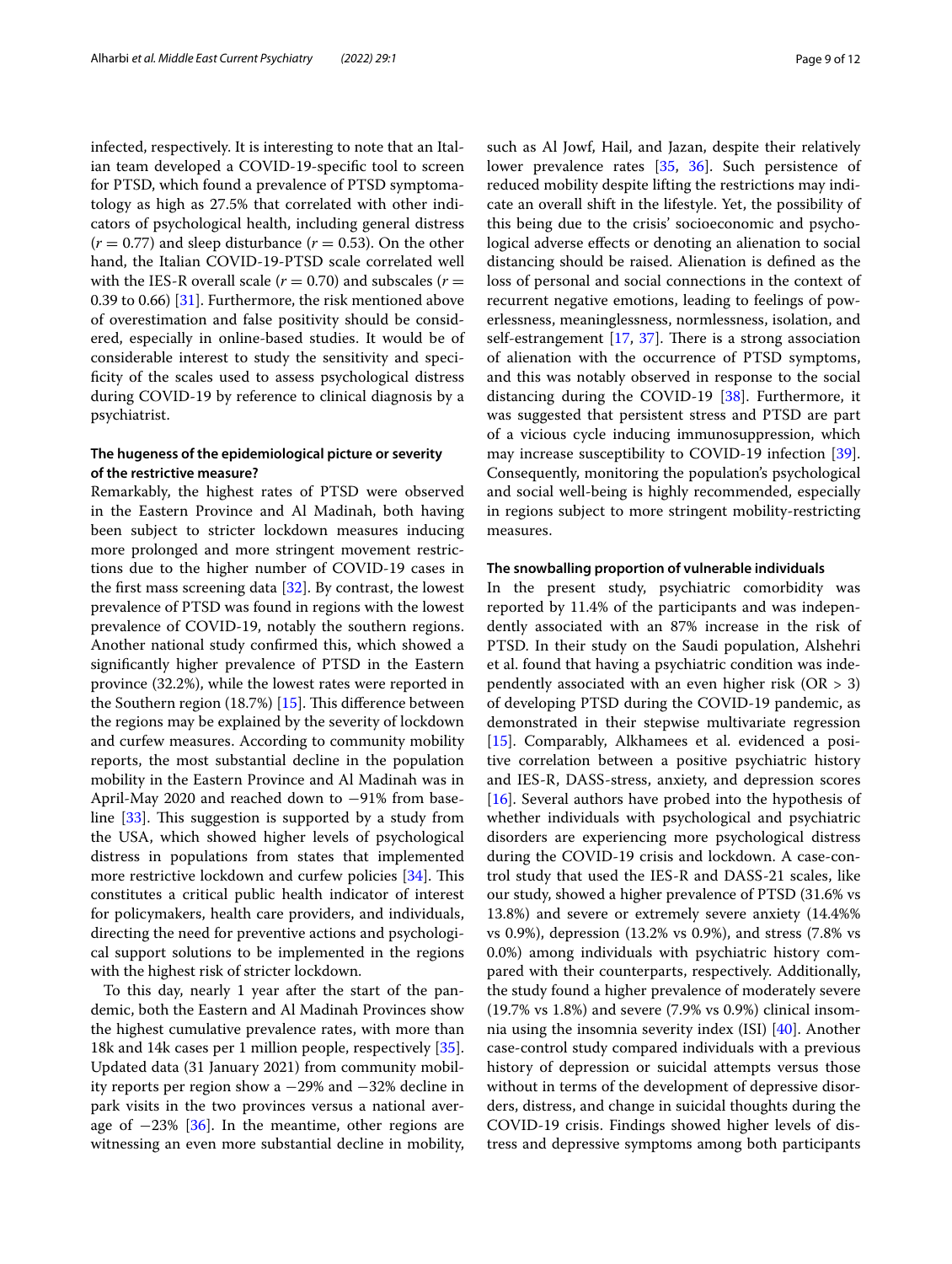infected, respectively. It is interesting to note that an Italian team developed a COVID-19-specifc tool to screen for PTSD, which found a prevalence of PTSD symptomatology as high as 27.5% that correlated with other indicators of psychological health, including general distress  $(r = 0.77)$  and sleep disturbance  $(r = 0.53)$ . On the other hand, the Italian COVID-19-PTSD scale correlated well with the IES-R overall scale  $(r = 0.70)$  and subscales  $(r = 0.70)$ 0.39 to 0.66) [\[31](#page-11-16)]. Furthermore, the risk mentioned above of overestimation and false positivity should be considered, especially in online-based studies. It would be of considerable interest to study the sensitivity and specifcity of the scales used to assess psychological distress during COVID-19 by reference to clinical diagnosis by a psychiatrist.

## **The hugeness of the epidemiological picture or severity of the restrictive measure?**

Remarkably, the highest rates of PTSD were observed in the Eastern Province and Al Madinah, both having been subject to stricter lockdown measures inducing more prolonged and more stringent movement restrictions due to the higher number of COVID-19 cases in the frst mass screening data [\[32](#page-11-17)]. By contrast, the lowest prevalence of PTSD was found in regions with the lowest prevalence of COVID-19, notably the southern regions. Another national study confrmed this, which showed a signifcantly higher prevalence of PTSD in the Eastern province (32.2%), while the lowest rates were reported in the Southern region  $(18.7%)$  [\[15](#page-11-12)]. This difference between the regions may be explained by the severity of lockdown and curfew measures. According to community mobility reports, the most substantial decline in the population mobility in the Eastern Province and Al Madinah was in April-May 2020 and reached down to −91% from baseline  $[33]$  $[33]$ . This suggestion is supported by a study from the USA, which showed higher levels of psychological distress in populations from states that implemented more restrictive lockdown and curfew policies  $[34]$  $[34]$ . This constitutes a critical public health indicator of interest for policymakers, health care providers, and individuals, directing the need for preventive actions and psychological support solutions to be implemented in the regions with the highest risk of stricter lockdown.

To this day, nearly 1 year after the start of the pandemic, both the Eastern and Al Madinah Provinces show the highest cumulative prevalence rates, with more than 18k and 14k cases per 1 million people, respectively [\[35](#page-11-20)]. Updated data (31 January 2021) from community mobility reports per region show a −29% and −32% decline in park visits in the two provinces versus a national average of  $-23\%$  [\[36\]](#page-11-21). In the meantime, other regions are witnessing an even more substantial decline in mobility, such as Al Jowf, Hail, and Jazan, despite their relatively lower prevalence rates [[35,](#page-11-20) [36\]](#page-11-21). Such persistence of reduced mobility despite lifting the restrictions may indicate an overall shift in the lifestyle. Yet, the possibility of this being due to the crisis' socioeconomic and psychological adverse efects or denoting an alienation to social distancing should be raised. Alienation is defned as the loss of personal and social connections in the context of recurrent negative emotions, leading to feelings of powerlessness, meaninglessness, normlessness, isolation, and self-estrangement  $[17, 37]$  $[17, 37]$  $[17, 37]$ . There is a strong association of alienation with the occurrence of PTSD symptoms, and this was notably observed in response to the social distancing during the COVID-19 [[38\]](#page-11-23). Furthermore, it was suggested that persistent stress and PTSD are part of a vicious cycle inducing immunosuppression, which may increase susceptibility to COVID-19 infection [\[39](#page-11-24)]. Consequently, monitoring the population's psychological and social well-being is highly recommended, especially in regions subject to more stringent mobility-restricting measures.

#### **The snowballing proportion of vulnerable individuals**

In the present study, psychiatric comorbidity was reported by 11.4% of the participants and was independently associated with an 87% increase in the risk of PTSD. In their study on the Saudi population, Alshehri et al. found that having a psychiatric condition was independently associated with an even higher risk ( $OR > 3$ ) of developing PTSD during the COVID-19 pandemic, as demonstrated in their stepwise multivariate regression [[15\]](#page-11-12). Comparably, Alkhamees et al. evidenced a positive correlation between a positive psychiatric history and IES-R, DASS-stress, anxiety, and depression scores [[16\]](#page-11-2). Several authors have probed into the hypothesis of whether individuals with psychological and psychiatric disorders are experiencing more psychological distress during the COVID-19 crisis and lockdown. A case-control study that used the IES-R and DASS-21 scales, like our study, showed a higher prevalence of PTSD (31.6% vs 13.8%) and severe or extremely severe anxiety (14.4%% vs 0.9%), depression (13.2% vs 0.9%), and stress (7.8% vs 0.0%) among individuals with psychiatric history compared with their counterparts, respectively. Additionally, the study found a higher prevalence of moderately severe (19.7% vs 1.8%) and severe (7.9% vs 0.9%) clinical insomnia using the insomnia severity index (ISI) [\[40\]](#page-11-25). Another case-control study compared individuals with a previous history of depression or suicidal attempts versus those without in terms of the development of depressive disorders, distress, and change in suicidal thoughts during the COVID-19 crisis. Findings showed higher levels of distress and depressive symptoms among both participants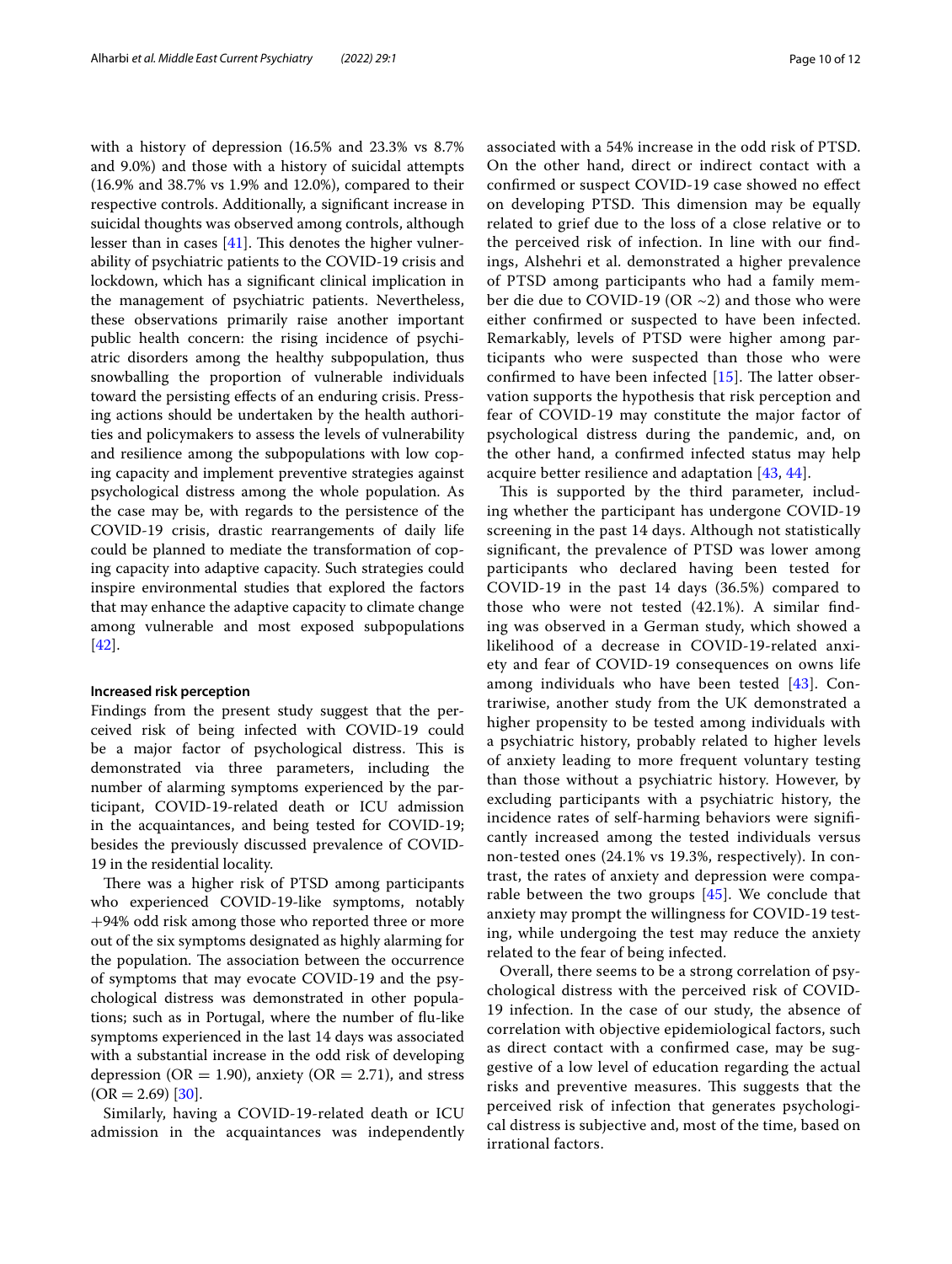with a history of depression (16.5% and 23.3% vs 8.7% and 9.0%) and those with a history of suicidal attempts (16.9% and 38.7% vs 1.9% and 12.0%), compared to their respective controls. Additionally, a signifcant increase in suicidal thoughts was observed among controls, although lesser than in cases  $[41]$  $[41]$ . This denotes the higher vulnerability of psychiatric patients to the COVID-19 crisis and lockdown, which has a signifcant clinical implication in the management of psychiatric patients. Nevertheless, these observations primarily raise another important public health concern: the rising incidence of psychiatric disorders among the healthy subpopulation, thus snowballing the proportion of vulnerable individuals toward the persisting efects of an enduring crisis. Pressing actions should be undertaken by the health authorities and policymakers to assess the levels of vulnerability and resilience among the subpopulations with low coping capacity and implement preventive strategies against psychological distress among the whole population. As the case may be, with regards to the persistence of the COVID-19 crisis, drastic rearrangements of daily life could be planned to mediate the transformation of coping capacity into adaptive capacity. Such strategies could inspire environmental studies that explored the factors that may enhance the adaptive capacity to climate change among vulnerable and most exposed subpopulations [[42\]](#page-11-27).

#### **Increased risk perception**

Findings from the present study suggest that the perceived risk of being infected with COVID-19 could be a major factor of psychological distress. This is demonstrated via three parameters, including the number of alarming symptoms experienced by the participant, COVID-19-related death or ICU admission in the acquaintances, and being tested for COVID-19; besides the previously discussed prevalence of COVID-19 in the residential locality.

There was a higher risk of PTSD among participants who experienced COVID-19-like symptoms, notably +94% odd risk among those who reported three or more out of the six symptoms designated as highly alarming for the population. The association between the occurrence of symptoms that may evocate COVID-19 and the psychological distress was demonstrated in other populations; such as in Portugal, where the number of fu-like symptoms experienced in the last 14 days was associated with a substantial increase in the odd risk of developing depression (OR = 1.90), anxiety (OR = 2.71), and stress  $(OR = 2.69)$  [[30](#page-11-15)].

Similarly, having a COVID-19-related death or ICU admission in the acquaintances was independently associated with a 54% increase in the odd risk of PTSD. On the other hand, direct or indirect contact with a confrmed or suspect COVID-19 case showed no efect on developing PTSD. This dimension may be equally related to grief due to the loss of a close relative or to the perceived risk of infection. In line with our fndings, Alshehri et al. demonstrated a higher prevalence of PTSD among participants who had a family member die due to COVID-19 (OR  $\sim$ 2) and those who were either confrmed or suspected to have been infected. Remarkably, levels of PTSD were higher among participants who were suspected than those who were confirmed to have been infected  $[15]$  $[15]$  $[15]$ . The latter observation supports the hypothesis that risk perception and fear of COVID-19 may constitute the major factor of psychological distress during the pandemic, and, on the other hand, a confrmed infected status may help acquire better resilience and adaptation [[43](#page-11-28), [44](#page-11-29)].

This is supported by the third parameter, including whether the participant has undergone COVID-19 screening in the past 14 days. Although not statistically signifcant, the prevalence of PTSD was lower among participants who declared having been tested for COVID-19 in the past 14 days (36.5%) compared to those who were not tested (42.1%). A similar fnding was observed in a German study, which showed a likelihood of a decrease in COVID-19-related anxiety and fear of COVID-19 consequences on owns life among individuals who have been tested [\[43](#page-11-28)]. Contrariwise, another study from the UK demonstrated a higher propensity to be tested among individuals with a psychiatric history, probably related to higher levels of anxiety leading to more frequent voluntary testing than those without a psychiatric history. However, by excluding participants with a psychiatric history, the incidence rates of self-harming behaviors were signifcantly increased among the tested individuals versus non-tested ones (24.1% vs 19.3%, respectively). In contrast, the rates of anxiety and depression were comparable between the two groups  $[45]$  $[45]$ . We conclude that anxiety may prompt the willingness for COVID-19 testing, while undergoing the test may reduce the anxiety related to the fear of being infected.

Overall, there seems to be a strong correlation of psychological distress with the perceived risk of COVID-19 infection. In the case of our study, the absence of correlation with objective epidemiological factors, such as direct contact with a confrmed case, may be suggestive of a low level of education regarding the actual risks and preventive measures. This suggests that the perceived risk of infection that generates psychological distress is subjective and, most of the time, based on irrational factors.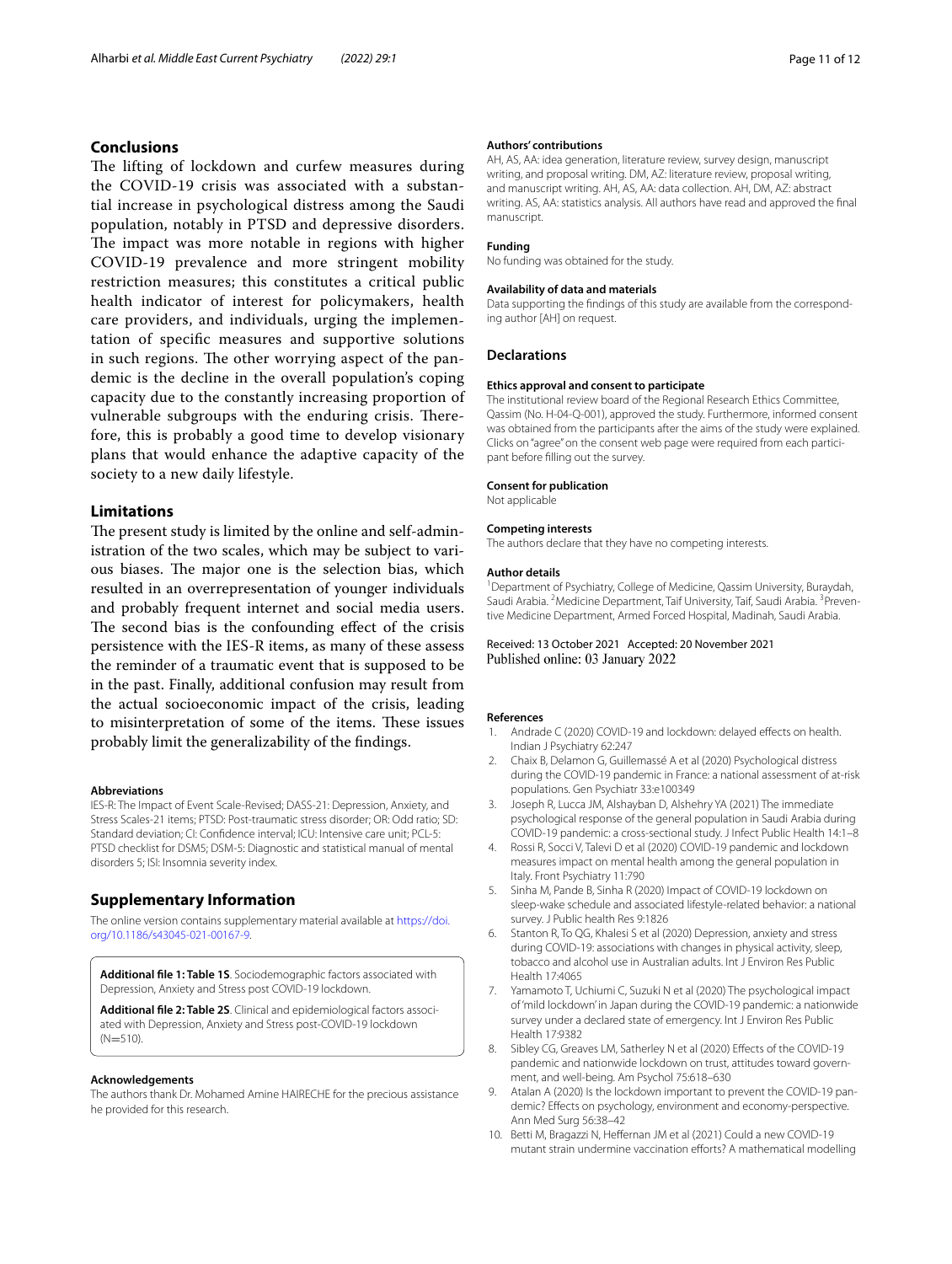## **Conclusions**

The lifting of lockdown and curfew measures during the COVID-19 crisis was associated with a substantial increase in psychological distress among the Saudi population, notably in PTSD and depressive disorders. The impact was more notable in regions with higher COVID-19 prevalence and more stringent mobility restriction measures; this constitutes a critical public health indicator of interest for policymakers, health care providers, and individuals, urging the implementation of specifc measures and supportive solutions in such regions. The other worrying aspect of the pandemic is the decline in the overall population's coping capacity due to the constantly increasing proportion of vulnerable subgroups with the enduring crisis. Therefore, this is probably a good time to develop visionary plans that would enhance the adaptive capacity of the society to a new daily lifestyle.

### **Limitations**

The present study is limited by the online and self-administration of the two scales, which may be subject to various biases. The major one is the selection bias, which resulted in an overrepresentation of younger individuals and probably frequent internet and social media users. The second bias is the confounding effect of the crisis persistence with the IES-R items, as many of these assess the reminder of a traumatic event that is supposed to be in the past. Finally, additional confusion may result from the actual socioeconomic impact of the crisis, leading to misinterpretation of some of the items. These issues probably limit the generalizability of the fndings.

#### **Abbreviations**

IES-R: The Impact of Event Scale-Revised; DASS-21: Depression, Anxiety, and Stress Scales-21 items; PTSD: Post-traumatic stress disorder; OR: Odd ratio; SD: Standard deviation; CI: Confdence interval; ICU: Intensive care unit; PCL-5: PTSD checklist for DSM5; DSM-5: Diagnostic and statistical manual of mental disorders 5; ISI: Insomnia severity index.

#### **Supplementary Information**

The online version contains supplementary material available at [https://doi.](https://doi.org/10.1186/s43045-021-00167-9) [org/10.1186/s43045-021-00167-9](https://doi.org/10.1186/s43045-021-00167-9).

<span id="page-10-6"></span><span id="page-10-5"></span>**Additional fle 1: Table 1S**. Sociodemographic factors associated with Depression, Anxiety and Stress post COVID-19 lockdown.

**Additional fle 2: Table 2S**. Clinical and epidemiological factors associated with Depression, Anxiety and Stress post-COVID-19 lockdown  $(N=510)$ .

#### **Acknowledgements**

The authors thank Dr. Mohamed Amine HAIRECHE for the precious assistance he provided for this research.

#### **Authors' contributions**

AH, AS, AA: idea generation, literature review, survey design, manuscript writing, and proposal writing. DM, AZ: literature review, proposal writing, and manuscript writing. AH, AS, AA: data collection. AH, DM, AZ: abstract writing. AS, AA: statistics analysis. All authors have read and approved the fnal manuscript.

#### **Funding**

No funding was obtained for the study.

#### **Availability of data and materials**

Data supporting the fndings of this study are available from the corresponding author [AH] on request.

#### **Declarations**

#### **Ethics approval and consent to participate**

The institutional review board of the Regional Research Ethics Committee, Qassim (No. H-04-Q-001), approved the study. Furthermore, informed consent was obtained from the participants after the aims of the study were explained. Clicks on "agree" on the consent web page were required from each participant before flling out the survey.

#### **Consent for publication**

Not applicable

#### **Competing interests**

The authors declare that they have no competing interests.

#### **Author details**

<sup>1</sup> Department of Psychiatry, College of Medicine, Qassim University, Buraydah, Saudi Arabia. <sup>2</sup> Medicine Department, Taif University, Taif, Saudi Arabia. <sup>3</sup> Preventive Medicine Department, Armed Forced Hospital, Madinah, Saudi Arabia.

#### Received: 13 October 2021 Accepted: 20 November 2021 Published online: 03 January 2022

#### **References**

- <span id="page-10-0"></span>Andrade C (2020) COVID-19 and lockdown: delayed effects on health. Indian J Psychiatry 62:247
- 2. Chaix B, Delamon G, Guillemassé A et al (2020) Psychological distress during the COVID-19 pandemic in France: a national assessment of at-risk populations. Gen Psychiatr 33:e100349
- 3. Joseph R, Lucca JM, Alshayban D, Alshehry YA (2021) The immediate psychological response of the general population in Saudi Arabia during COVID-19 pandemic: a cross-sectional study. J Infect Public Health 14:1–8
- 4. Rossi R, Socci V, Talevi D et al (2020) COVID-19 pandemic and lockdown measures impact on mental health among the general population in Italy. Front Psychiatry 11:790
- 5. Sinha M, Pande B, Sinha R (2020) Impact of COVID-19 lockdown on sleep-wake schedule and associated lifestyle-related behavior: a national survey. J Public health Res 9:1826
- 6. Stanton R, To QG, Khalesi S et al (2020) Depression, anxiety and stress during COVID-19: associations with changes in physical activity, sleep, tobacco and alcohol use in Australian adults. Int J Environ Res Public Health 17:4065
- <span id="page-10-1"></span>7. Yamamoto T, Uchiumi C, Suzuki N et al (2020) The psychological impact of 'mild lockdown' in Japan during the COVID-19 pandemic: a nationwide survey under a declared state of emergency. Int J Environ Res Public Health 17:9382
- <span id="page-10-2"></span>8. Sibley CG, Greaves LM, Satherley N et al (2020) Effects of the COVID-19 pandemic and nationwide lockdown on trust, attitudes toward government, and well-being. Am Psychol 75:618–630
- <span id="page-10-3"></span>9. Atalan A (2020) Is the lockdown important to prevent the COVID-19 pandemic? Efects on psychology, environment and economy-perspective. Ann Med Surg 56:38–42
- <span id="page-10-4"></span>10. Betti M, Bragazzi N, Heffernan JM et al (2021) Could a new COVID-19 mutant strain undermine vaccination efforts? A mathematical modelling